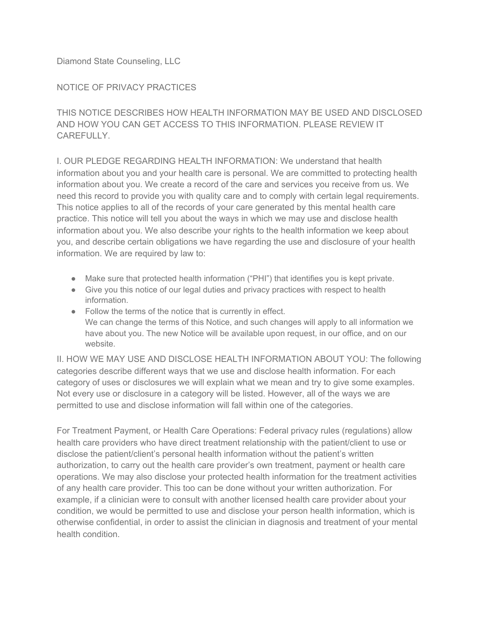Diamond State Counseling, LLC

## NOTICE OF PRIVACY PRACTICES

THIS NOTICE DESCRIBES HOW HEALTH INFORMATION MAY BE USED AND DISCLOSED AND HOW YOU CAN GET ACCESS TO THIS INFORMATION. PLEASE REVIEW IT CAREFULLY.

I. OUR PLEDGE REGARDING HEALTH INFORMATION: We understand that health information about you and your health care is personal. We are committed to protecting health information about you. We create a record of the care and services you receive from us. We need this record to provide you with quality care and to comply with certain legal requirements. This notice applies to all of the records of your care generated by this mental health care practice. This notice will tell you about the ways in which we may use and disclose health information about you. We also describe your rights to the health information we keep about you, and describe certain obligations we have regarding the use and disclosure of your health information. We are required by law to:

- Make sure that protected health information ("PHI") that identifies you is kept private.
- Give you this notice of our legal duties and privacy practices with respect to health information.
- Follow the terms of the notice that is currently in effect. We can change the terms of this Notice, and such changes will apply to all information we have about you. The new Notice will be available upon request, in our office, and on our website.

II. HOW WE MAY USE AND DISCLOSE HEALTH INFORMATION ABOUT YOU: The following categories describe different ways that we use and disclose health information. For each category of uses or disclosures we will explain what we mean and try to give some examples. Not every use or disclosure in a category will be listed. However, all of the ways we are permitted to use and disclose information will fall within one of the categories.

For Treatment Payment, or Health Care Operations: Federal privacy rules (regulations) allow health care providers who have direct treatment relationship with the patient/client to use or disclose the patient/client's personal health information without the patient's written authorization, to carry out the health care provider's own treatment, payment or health care operations. We may also disclose your protected health information for the treatment activities of any health care provider. This too can be done without your written authorization. For example, if a clinician were to consult with another licensed health care provider about your condition, we would be permitted to use and disclose your person health information, which is otherwise confidential, in order to assist the clinician in diagnosis and treatment of your mental health condition.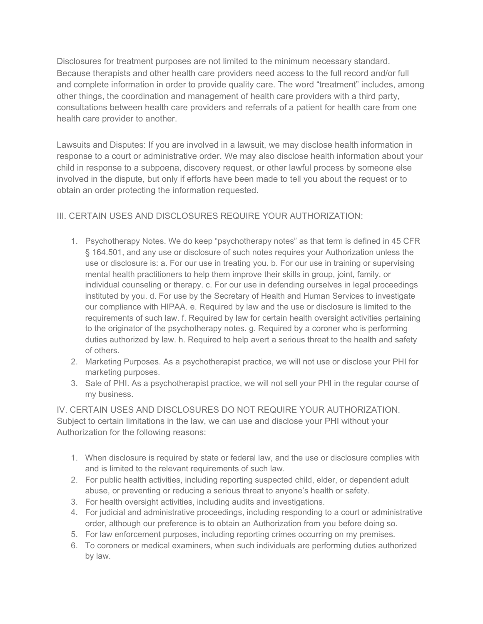Disclosures for treatment purposes are not limited to the minimum necessary standard. Because therapists and other health care providers need access to the full record and/or full and complete information in order to provide quality care. The word "treatment" includes, among other things, the coordination and management of health care providers with a third party, consultations between health care providers and referrals of a patient for health care from one health care provider to another.

Lawsuits and Disputes: If you are involved in a lawsuit, we may disclose health information in response to a court or administrative order. We may also disclose health information about your child in response to a subpoena, discovery request, or other lawful process by someone else involved in the dispute, but only if efforts have been made to tell you about the request or to obtain an order protecting the information requested.

# III. CERTAIN USES AND DISCLOSURES REQUIRE YOUR AUTHORIZATION:

- 1. Psychotherapy Notes. We do keep "psychotherapy notes" as that term is defined in 45 CFR § 164.501, and any use or disclosure of such notes requires your Authorization unless the use or disclosure is: a. For our use in treating you. b. For our use in training or supervising mental health practitioners to help them improve their skills in group, joint, family, or individual counseling or therapy. c. For our use in defending ourselves in legal proceedings instituted by you. d. For use by the Secretary of Health and Human Services to investigate our compliance with HIPAA. e. Required by law and the use or disclosure is limited to the requirements of such law. f. Required by law for certain health oversight activities pertaining to the originator of the psychotherapy notes. g. Required by a coroner who is performing duties authorized by law. h. Required to help avert a serious threat to the health and safety of others.
- 2. Marketing Purposes. As a psychotherapist practice, we will not use or disclose your PHI for marketing purposes.
- 3. Sale of PHI. As a psychotherapist practice, we will not sell your PHI in the regular course of my business.

IV. CERTAIN USES AND DISCLOSURES DO NOT REQUIRE YOUR AUTHORIZATION. Subject to certain limitations in the law, we can use and disclose your PHI without your Authorization for the following reasons:

- 1. When disclosure is required by state or federal law, and the use or disclosure complies with and is limited to the relevant requirements of such law.
- 2. For public health activities, including reporting suspected child, elder, or dependent adult abuse, or preventing or reducing a serious threat to anyone's health or safety.
- 3. For health oversight activities, including audits and investigations.
- 4. For judicial and administrative proceedings, including responding to a court or administrative order, although our preference is to obtain an Authorization from you before doing so.
- 5. For law enforcement purposes, including reporting crimes occurring on my premises.
- 6. To coroners or medical examiners, when such individuals are performing duties authorized by law.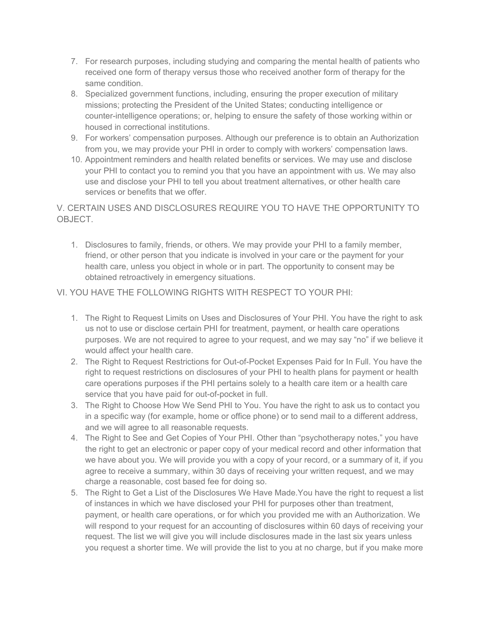- 7. For research purposes, including studying and comparing the mental health of patients who received one form of therapy versus those who received another form of therapy for the same condition.
- 8. Specialized government functions, including, ensuring the proper execution of military missions; protecting the President of the United States; conducting intelligence or counter-intelligence operations; or, helping to ensure the safety of those working within or housed in correctional institutions.
- 9. For workers' compensation purposes. Although our preference is to obtain an Authorization from you, we may provide your PHI in order to comply with workers' compensation laws.
- 10. Appointment reminders and health related benefits or services. We may use and disclose your PHI to contact you to remind you that you have an appointment with us. We may also use and disclose your PHI to tell you about treatment alternatives, or other health care services or benefits that we offer.

## V. CERTAIN USES AND DISCLOSURES REQUIRE YOU TO HAVE THE OPPORTUNITY TO OBJECT.

1. Disclosures to family, friends, or others. We may provide your PHI to a family member, friend, or other person that you indicate is involved in your care or the payment for your health care, unless you object in whole or in part. The opportunity to consent may be obtained retroactively in emergency situations.

## VI. YOU HAVE THE FOLLOWING RIGHTS WITH RESPECT TO YOUR PHI:

- 1. The Right to Request Limits on Uses and Disclosures of Your PHI. You have the right to ask us not to use or disclose certain PHI for treatment, payment, or health care operations purposes. We are not required to agree to your request, and we may say "no" if we believe it would affect your health care.
- 2. The Right to Request Restrictions for Out-of-Pocket Expenses Paid for In Full. You have the right to request restrictions on disclosures of your PHI to health plans for payment or health care operations purposes if the PHI pertains solely to a health care item or a health care service that you have paid for out-of-pocket in full.
- 3. The Right to Choose How We Send PHI to You. You have the right to ask us to contact you in a specific way (for example, home or office phone) or to send mail to a different address, and we will agree to all reasonable requests.
- 4. The Right to See and Get Copies of Your PHI. Other than "psychotherapy notes," you have the right to get an electronic or paper copy of your medical record and other information that we have about you. We will provide you with a copy of your record, or a summary of it, if you agree to receive a summary, within 30 days of receiving your written request, and we may charge a reasonable, cost based fee for doing so.
- 5. The Right to Get a List of the Disclosures We Have Made.You have the right to request a list of instances in which we have disclosed your PHI for purposes other than treatment, payment, or health care operations, or for which you provided me with an Authorization. We will respond to your request for an accounting of disclosures within 60 days of receiving your request. The list we will give you will include disclosures made in the last six years unless you request a shorter time. We will provide the list to you at no charge, but if you make more